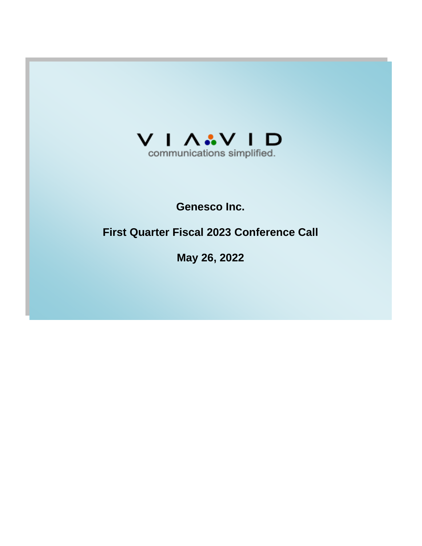

## **Genesco Inc.**

# **First Quarter Fiscal 2023 Conference Call**

**May 26, 2022**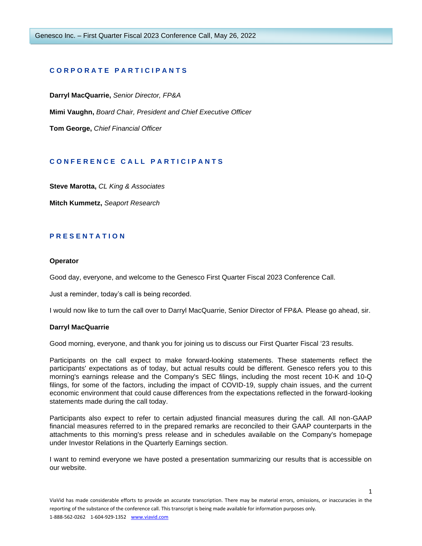## **C O R P O R A T E P A R T I C I P A N T S**

**Darryl MacQuarrie,** *Senior Director, FP&A* **Mimi Vaughn,** *Board Chair, President and Chief Executive Officer*  **Tom George,** *Chief Financial Officer*

## **C O N F E R E N C E C A L L P A R T I C I P A N T S**

**Steve Marotta,** *CL King & Associates*

**Mitch Kummetz,** *Seaport Research*

## **P R E S E N T A T I O N**

#### **Operator**

Good day, everyone, and welcome to the Genesco First Quarter Fiscal 2023 Conference Call.

Just a reminder, today's call is being recorded.

I would now like to turn the call over to Darryl MacQuarrie, Senior Director of FP&A. Please go ahead, sir.

#### **Darryl MacQuarrie**

Good morning, everyone, and thank you for joining us to discuss our First Quarter Fiscal '23 results.

Participants on the call expect to make forward-looking statements. These statements reflect the participants' expectations as of today, but actual results could be different. Genesco refers you to this morning's earnings release and the Company's SEC filings, including the most recent 10-K and 10-Q filings, for some of the factors, including the impact of COVID-19, supply chain issues, and the current economic environment that could cause differences from the expectations reflected in the forward-looking statements made during the call today.

Participants also expect to refer to certain adjusted financial measures during the call. All non-GAAP financial measures referred to in the prepared remarks are reconciled to their GAAP counterparts in the attachments to this morning's press release and in schedules available on the Company's homepage under Investor Relations in the Quarterly Earnings section.

I want to remind everyone we have posted a presentation summarizing our results that is accessible on our website.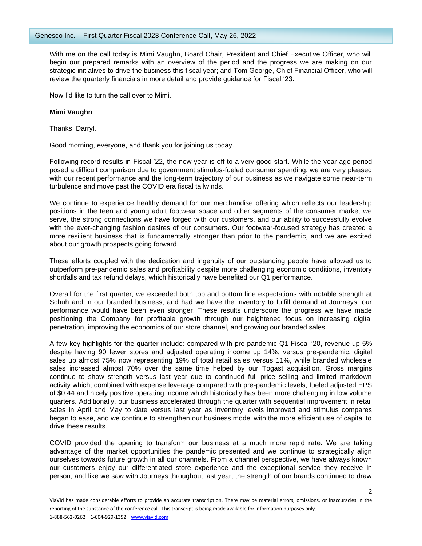With me on the call today is Mimi Vaughn, Board Chair, President and Chief Executive Officer, who will begin our prepared remarks with an overview of the period and the progress we are making on our strategic initiatives to drive the business this fiscal year; and Tom George, Chief Financial Officer, who will review the quarterly financials in more detail and provide guidance for Fiscal '23.

Now I'd like to turn the call over to Mimi.

## **Mimi Vaughn**

Thanks, Darryl.

Good morning, everyone, and thank you for joining us today.

Following record results in Fiscal '22, the new year is off to a very good start. While the year ago period posed a difficult comparison due to government stimulus-fueled consumer spending, we are very pleased with our recent performance and the long-term trajectory of our business as we navigate some near-term turbulence and move past the COVID era fiscal tailwinds.

We continue to experience healthy demand for our merchandise offering which reflects our leadership positions in the teen and young adult footwear space and other segments of the consumer market we serve, the strong connections we have forged with our customers, and our ability to successfully evolve with the ever-changing fashion desires of our consumers. Our footwear-focused strategy has created a more resilient business that is fundamentally stronger than prior to the pandemic, and we are excited about our growth prospects going forward.

These efforts coupled with the dedication and ingenuity of our outstanding people have allowed us to outperform pre-pandemic sales and profitability despite more challenging economic conditions, inventory shortfalls and tax refund delays, which historically have benefited our Q1 performance.

Overall for the first quarter, we exceeded both top and bottom line expectations with notable strength at Schuh and in our branded business, and had we have the inventory to fulfill demand at Journeys, our performance would have been even stronger. These results underscore the progress we have made positioning the Company for profitable growth through our heightened focus on increasing digital penetration, improving the economics of our store channel, and growing our branded sales.

A few key highlights for the quarter include: compared with pre-pandemic Q1 Fiscal '20, revenue up 5% despite having 90 fewer stores and adjusted operating income up 14%; versus pre-pandemic, digital sales up almost 75% now representing 19% of total retail sales versus 11%, while branded wholesale sales increased almost 70% over the same time helped by our Togast acquisition. Gross margins continue to show strength versus last year due to continued full price selling and limited markdown activity which, combined with expense leverage compared with pre-pandemic levels, fueled adjusted EPS of \$0.44 and nicely positive operating income which historically has been more challenging in low volume quarters. Additionally, our business accelerated through the quarter with sequential improvement in retail sales in April and May to date versus last year as inventory levels improved and stimulus compares began to ease, and we continue to strengthen our business model with the more efficient use of capital to drive these results.

COVID provided the opening to transform our business at a much more rapid rate. We are taking advantage of the market opportunities the pandemic presented and we continue to strategically align ourselves towards future growth in all our channels. From a channel perspective, we have always known our customers enjoy our differentiated store experience and the exceptional service they receive in person, and like we saw with Journeys throughout last year, the strength of our brands continued to draw

 $\mathcal{L}$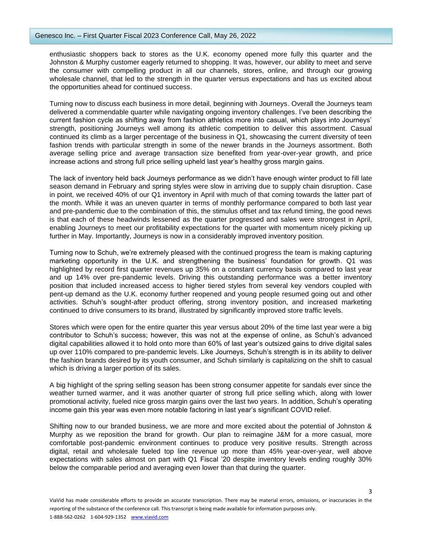enthusiastic shoppers back to stores as the U.K. economy opened more fully this quarter and the Johnston & Murphy customer eagerly returned to shopping. It was, however, our ability to meet and serve the consumer with compelling product in all our channels, stores, online, and through our growing wholesale channel, that led to the strength in the quarter versus expectations and has us excited about the opportunities ahead for continued success.

Turning now to discuss each business in more detail, beginning with Journeys. Overall the Journeys team delivered a commendable quarter while navigating ongoing inventory challenges. I've been describing the current fashion cycle as shifting away from fashion athletics more into casual, which plays into Journeys' strength, positioning Journeys well among its athletic competition to deliver this assortment. Casual continued its climb as a larger percentage of the business in Q1, showcasing the current diversity of teen fashion trends with particular strength in some of the newer brands in the Journeys assortment. Both average selling price and average transaction size benefited from year-over-year growth, and price increase actions and strong full price selling upheld last year's healthy gross margin gains.

The lack of inventory held back Journeys performance as we didn't have enough winter product to fill late season demand in February and spring styles were slow in arriving due to supply chain disruption. Case in point, we received 40% of our Q1 inventory in April with much of that coming towards the latter part of the month. While it was an uneven quarter in terms of monthly performance compared to both last year and pre-pandemic due to the combination of this, the stimulus offset and tax refund timing, the good news is that each of these headwinds lessened as the quarter progressed and sales were strongest in April, enabling Journeys to meet our profitability expectations for the quarter with momentum nicely picking up further in May. Importantly, Journeys is now in a considerably improved inventory position.

Turning now to Schuh, we're extremely pleased with the continued progress the team is making capturing marketing opportunity in the U.K. and strengthening the business' foundation for growth. Q1 was highlighted by record first quarter revenues up 35% on a constant currency basis compared to last year and up 14% over pre-pandemic levels. Driving this outstanding performance was a better inventory position that included increased access to higher tiered styles from several key vendors coupled with pent-up demand as the U.K. economy further reopened and young people resumed going out and other activities. Schuh's sought-after product offering, strong inventory position, and increased marketing continued to drive consumers to its brand, illustrated by significantly improved store traffic levels.

Stores which were open for the entire quarter this year versus about 20% of the time last year were a big contributor to Schuh's success; however, this was not at the expense of online, as Schuh's advanced digital capabilities allowed it to hold onto more than 60% of last year's outsized gains to drive digital sales up over 110% compared to pre-pandemic levels. Like Journeys, Schuh's strength is in its ability to deliver the fashion brands desired by its youth consumer, and Schuh similarly is capitalizing on the shift to casual which is driving a larger portion of its sales.

A big highlight of the spring selling season has been strong consumer appetite for sandals ever since the weather turned warmer, and it was another quarter of strong full price selling which, along with lower promotional activity, fueled nice gross margin gains over the last two years. In addition, Schuh's operating income gain this year was even more notable factoring in last year's significant COVID relief.

Shifting now to our branded business, we are more and more excited about the potential of Johnston & Murphy as we reposition the brand for growth. Our plan to reimagine J&M for a more casual, more comfortable post-pandemic environment continues to produce very positive results. Strength across digital, retail and wholesale fueled top line revenue up more than 45% year-over-year, well above expectations with sales almost on part with Q1 Fiscal '20 despite inventory levels ending roughly 30% below the comparable period and averaging even lower than that during the quarter.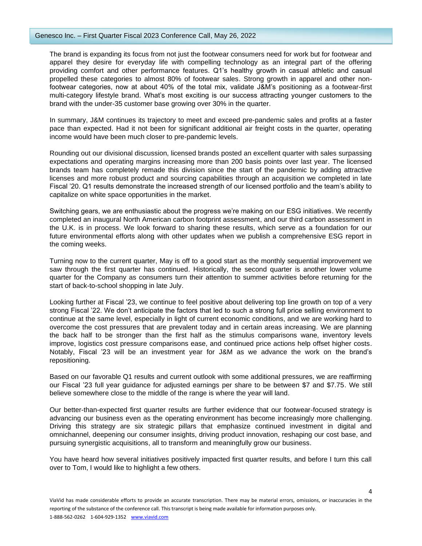The brand is expanding its focus from not just the footwear consumers need for work but for footwear and apparel they desire for everyday life with compelling technology as an integral part of the offering providing comfort and other performance features. Q1's healthy growth in casual athletic and casual propelled these categories to almost 80% of footwear sales. Strong growth in apparel and other nonfootwear categories, now at about 40% of the total mix, validate J&M's positioning as a footwear-first multi-category lifestyle brand. What's most exciting is our success attracting younger customers to the brand with the under-35 customer base growing over 30% in the quarter.

In summary, J&M continues its trajectory to meet and exceed pre-pandemic sales and profits at a faster pace than expected. Had it not been for significant additional air freight costs in the quarter, operating income would have been much closer to pre-pandemic levels.

Rounding out our divisional discussion, licensed brands posted an excellent quarter with sales surpassing expectations and operating margins increasing more than 200 basis points over last year. The licensed brands team has completely remade this division since the start of the pandemic by adding attractive licenses and more robust product and sourcing capabilities through an acquisition we completed in late Fiscal '20. Q1 results demonstrate the increased strength of our licensed portfolio and the team's ability to capitalize on white space opportunities in the market.

Switching gears, we are enthusiastic about the progress we're making on our ESG initiatives. We recently completed an inaugural North American carbon footprint assessment, and our third carbon assessment in the U.K. is in process. We look forward to sharing these results, which serve as a foundation for our future environmental efforts along with other updates when we publish a comprehensive ESG report in the coming weeks.

Turning now to the current quarter, May is off to a good start as the monthly sequential improvement we saw through the first quarter has continued. Historically, the second quarter is another lower volume quarter for the Company as consumers turn their attention to summer activities before returning for the start of back-to-school shopping in late July.

Looking further at Fiscal '23, we continue to feel positive about delivering top line growth on top of a very strong Fiscal '22. We don't anticipate the factors that led to such a strong full price selling environment to continue at the same level, especially in light of current economic conditions, and we are working hard to overcome the cost pressures that are prevalent today and in certain areas increasing. We are planning the back half to be stronger than the first half as the stimulus comparisons wane, inventory levels improve, logistics cost pressure comparisons ease, and continued price actions help offset higher costs. Notably, Fiscal '23 will be an investment year for J&M as we advance the work on the brand's repositioning.

Based on our favorable Q1 results and current outlook with some additional pressures, we are reaffirming our Fiscal '23 full year guidance for adjusted earnings per share to be between \$7 and \$7.75. We still believe somewhere close to the middle of the range is where the year will land.

Our better-than-expected first quarter results are further evidence that our footwear-focused strategy is advancing our business even as the operating environment has become increasingly more challenging. Driving this strategy are six strategic pillars that emphasize continued investment in digital and omnichannel, deepening our consumer insights, driving product innovation, reshaping our cost base, and pursuing synergistic acquisitions, all to transform and meaningfully grow our business.

You have heard how several initiatives positively impacted first quarter results, and before I turn this call over to Tom, I would like to highlight a few others.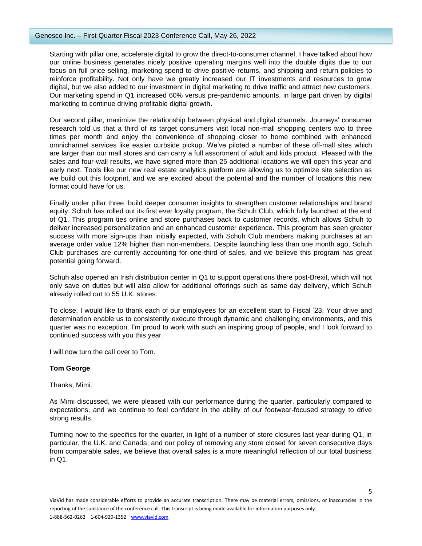Starting with pillar one, accelerate digital to grow the direct-to-consumer channel, I have talked about how our online business generates nicely positive operating margins well into the double digits due to our focus on full price selling, marketing spend to drive positive returns, and shipping and return policies to reinforce profitability. Not only have we greatly increased our IT investments and resources to grow digital, but we also added to our investment in digital marketing to drive traffic and attract new customers. Our marketing spend in Q1 increased 60% versus pre-pandemic amounts, in large part driven by digital marketing to continue driving profitable digital growth.

Our second pillar, maximize the relationship between physical and digital channels. Journeys' consumer research told us that a third of its target consumers visit local non-mall shopping centers two to three times per month and enjoy the convenience of shopping closer to home combined with enhanced omnichannel services like easier curbside pickup. We've piloted a number of these off-mall sites which are larger than our mall stores and can carry a full assortment of adult and kids product. Pleased with the sales and four-wall results, we have signed more than 25 additional locations we will open this year and early next. Tools like our new real estate analytics platform are allowing us to optimize site selection as we build out this footprint, and we are excited about the potential and the number of locations this new format could have for us.

Finally under pillar three, build deeper consumer insights to strengthen customer relationships and brand equity. Schuh has rolled out its first ever loyalty program, the Schuh Club, which fully launched at the end of Q1. This program ties online and store purchases back to customer records, which allows Schuh to deliver increased personalization and an enhanced customer experience. This program has seen greater success with more sign-ups than initially expected, with Schuh Club members making purchases at an average order value 12% higher than non-members. Despite launching less than one month ago, Schuh Club purchases are currently accounting for one-third of sales, and we believe this program has great potential going forward.

Schuh also opened an Irish distribution center in Q1 to support operations there post-Brexit, which will not only save on duties but will also allow for additional offerings such as same day delivery, which Schuh already rolled out to 55 U.K. stores.

To close, I would like to thank each of our employees for an excellent start to Fiscal '23. Your drive and determination enable us to consistently execute through dynamic and challenging environments, and this quarter was no exception. I'm proud to work with such an inspiring group of people, and I look forward to continued success with you this year.

I will now turn the call over to Tom.

## **Tom George**

Thanks, Mimi.

As Mimi discussed, we were pleased with our performance during the quarter, particularly compared to expectations, and we continue to feel confident in the ability of our footwear-focused strategy to drive strong results.

Turning now to the specifics for the quarter, in light of a number of store closures last year during Q1, in particular, the U.K. and Canada, and our policy of removing any store closed for seven consecutive days from comparable sales, we believe that overall sales is a more meaningful reflection of our total business in Q1.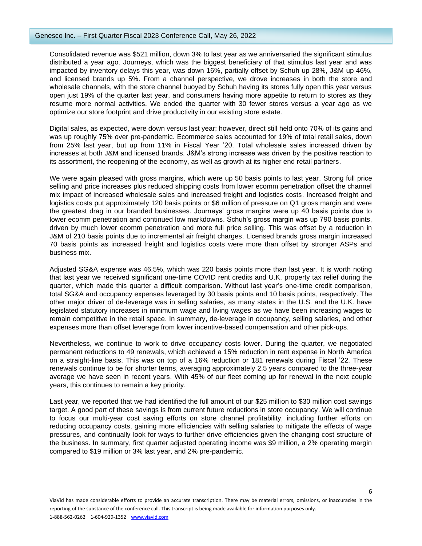Consolidated revenue was \$521 million, down 3% to last year as we anniversaried the significant stimulus distributed a year ago. Journeys, which was the biggest beneficiary of that stimulus last year and was impacted by inventory delays this year, was down 16%, partially offset by Schuh up 28%, J&M up 46%, and licensed brands up 5%. From a channel perspective, we drove increases in both the store and wholesale channels, with the store channel buoyed by Schuh having its stores fully open this year versus open just 19% of the quarter last year, and consumers having more appetite to return to stores as they resume more normal activities. We ended the quarter with 30 fewer stores versus a year ago as we optimize our store footprint and drive productivity in our existing store estate.

Digital sales, as expected, were down versus last year; however, direct still held onto 70% of its gains and was up roughly 75% over pre-pandemic. Ecommerce sales accounted for 19% of total retail sales, down from 25% last year, but up from 11% in Fiscal Year '20. Total wholesale sales increased driven by increases at both J&M and licensed brands. J&M's strong increase was driven by the positive reaction to its assortment, the reopening of the economy, as well as growth at its higher end retail partners.

We were again pleased with gross margins, which were up 50 basis points to last year. Strong full price selling and price increases plus reduced shipping costs from lower ecomm penetration offset the channel mix impact of increased wholesale sales and increased freight and logistics costs. Increased freight and logistics costs put approximately 120 basis points or \$6 million of pressure on Q1 gross margin and were the greatest drag in our branded businesses. Journeys' gross margins were up 40 basis points due to lower ecomm penetration and continued low markdowns. Schuh's gross margin was up 790 basis points, driven by much lower ecomm penetration and more full price selling. This was offset by a reduction in J&M of 210 basis points due to incremental air freight charges. Licensed brands gross margin increased 70 basis points as increased freight and logistics costs were more than offset by stronger ASPs and business mix.

Adjusted SG&A expense was 46.5%, which was 220 basis points more than last year. It is worth noting that last year we received significant one-time COVID rent credits and U.K. property tax relief during the quarter, which made this quarter a difficult comparison. Without last year's one-time credit comparison, total SG&A and occupancy expenses leveraged by 30 basis points and 10 basis points, respectively. The other major driver of de-leverage was in selling salaries, as many states in the U.S. and the U.K. have legislated statutory increases in minimum wage and living wages as we have been increasing wages to remain competitive in the retail space. In summary, de-leverage in occupancy, selling salaries, and other expenses more than offset leverage from lower incentive-based compensation and other pick-ups.

Nevertheless, we continue to work to drive occupancy costs lower. During the quarter, we negotiated permanent reductions to 49 renewals, which achieved a 15% reduction in rent expense in North America on a straight-line basis. This was on top of a 16% reduction or 181 renewals during Fiscal '22. These renewals continue to be for shorter terms, averaging approximately 2.5 years compared to the three-year average we have seen in recent years. With 45% of our fleet coming up for renewal in the next couple years, this continues to remain a key priority.

Last year, we reported that we had identified the full amount of our \$25 million to \$30 million cost savings target. A good part of these savings is from current future reductions in store occupancy. We will continue to focus our multi-year cost saving efforts on store channel profitability, including further efforts on reducing occupancy costs, gaining more efficiencies with selling salaries to mitigate the effects of wage pressures, and continually look for ways to further drive efficiencies given the changing cost structure of the business. In summary, first quarter adjusted operating income was \$9 million, a 2% operating margin compared to \$19 million or 3% last year, and 2% pre-pandemic.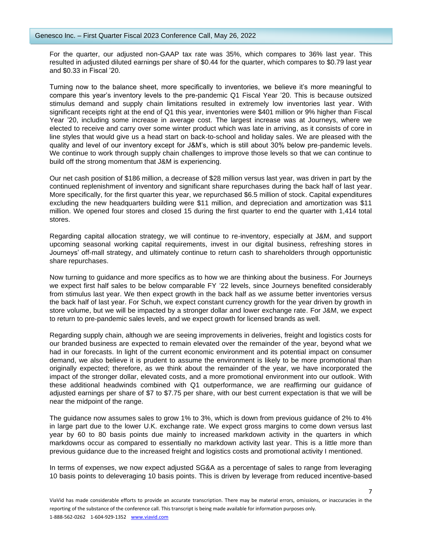For the quarter, our adjusted non-GAAP tax rate was 35%, which compares to 36% last year. This resulted in adjusted diluted earnings per share of \$0.44 for the quarter, which compares to \$0.79 last year and \$0.33 in Fiscal '20.

Turning now to the balance sheet, more specifically to inventories, we believe it's more meaningful to compare this year's inventory levels to the pre-pandemic Q1 Fiscal Year '20. This is because outsized stimulus demand and supply chain limitations resulted in extremely low inventories last year. With significant receipts right at the end of Q1 this year, inventories were \$401 million or 9% higher than Fiscal Year '20, including some increase in average cost. The largest increase was at Journeys, where we elected to receive and carry over some winter product which was late in arriving, as it consists of core in line styles that would give us a head start on back-to-school and holiday sales. We are pleased with the quality and level of our inventory except for J&M's, which is still about 30% below pre-pandemic levels. We continue to work through supply chain challenges to improve those levels so that we can continue to build off the strong momentum that J&M is experiencing.

Our net cash position of \$186 million, a decrease of \$28 million versus last year, was driven in part by the continued replenishment of inventory and significant share repurchases during the back half of last year. More specifically, for the first quarter this year, we repurchased \$6.5 million of stock. Capital expenditures excluding the new headquarters building were \$11 million, and depreciation and amortization was \$11 million. We opened four stores and closed 15 during the first quarter to end the quarter with 1,414 total stores.

Regarding capital allocation strategy, we will continue to re-inventory, especially at J&M, and support upcoming seasonal working capital requirements, invest in our digital business, refreshing stores in Journeys' off-mall strategy, and ultimately continue to return cash to shareholders through opportunistic share repurchases.

Now turning to guidance and more specifics as to how we are thinking about the business. For Journeys we expect first half sales to be below comparable FY '22 levels, since Journeys benefited considerably from stimulus last year. We then expect growth in the back half as we assume better inventories versus the back half of last year. For Schuh, we expect constant currency growth for the year driven by growth in store volume, but we will be impacted by a stronger dollar and lower exchange rate. For J&M, we expect to return to pre-pandemic sales levels, and we expect growth for licensed brands as well.

Regarding supply chain, although we are seeing improvements in deliveries, freight and logistics costs for our branded business are expected to remain elevated over the remainder of the year, beyond what we had in our forecasts. In light of the current economic environment and its potential impact on consumer demand, we also believe it is prudent to assume the environment is likely to be more promotional than originally expected; therefore, as we think about the remainder of the year, we have incorporated the impact of the stronger dollar, elevated costs, and a more promotional environment into our outlook. With these additional headwinds combined with Q1 outperformance, we are reaffirming our guidance of adjusted earnings per share of \$7 to \$7.75 per share, with our best current expectation is that we will be near the midpoint of the range.

The guidance now assumes sales to grow 1% to 3%, which is down from previous guidance of 2% to 4% in large part due to the lower U.K. exchange rate. We expect gross margins to come down versus last year by 60 to 80 basis points due mainly to increased markdown activity in the quarters in which markdowns occur as compared to essentially no markdown activity last year. This is a little more than previous guidance due to the increased freight and logistics costs and promotional activity I mentioned.

In terms of expenses, we now expect adjusted SG&A as a percentage of sales to range from leveraging 10 basis points to deleveraging 10 basis points. This is driven by leverage from reduced incentive-based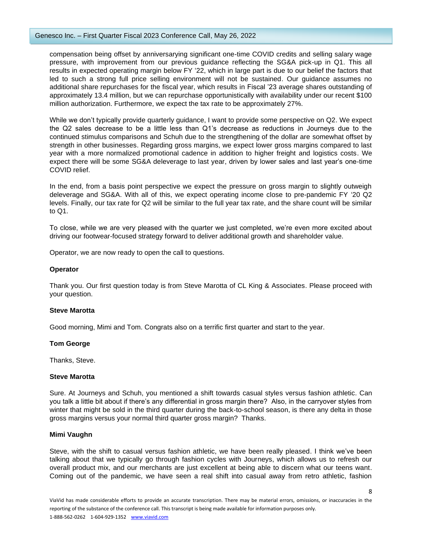## Genesco Inc. – First Quarter Fiscal 2023 Conference Call, May 26, 2022

compensation being offset by anniversarying significant one-time COVID credits and selling salary wage pressure, with improvement from our previous guidance reflecting the SG&A pick-up in Q1. This all results in expected operating margin below FY '22, which in large part is due to our belief the factors that led to such a strong full price selling environment will not be sustained. Our guidance assumes no additional share repurchases for the fiscal year, which results in Fiscal '23 average shares outstanding of approximately 13.4 million, but we can repurchase opportunistically with availability under our recent \$100 million authorization. Furthermore, we expect the tax rate to be approximately 27%.

While we don't typically provide quarterly guidance, I want to provide some perspective on Q2. We expect the Q2 sales decrease to be a little less than Q1's decrease as reductions in Journeys due to the continued stimulus comparisons and Schuh due to the strengthening of the dollar are somewhat offset by strength in other businesses. Regarding gross margins, we expect lower gross margins compared to last year with a more normalized promotional cadence in addition to higher freight and logistics costs. We expect there will be some SG&A deleverage to last year, driven by lower sales and last year's one-time COVID relief.

In the end, from a basis point perspective we expect the pressure on gross margin to slightly outweigh deleverage and SG&A. With all of this, we expect operating income close to pre-pandemic FY '20 Q2 levels. Finally, our tax rate for Q2 will be similar to the full year tax rate, and the share count will be similar to Q1.

To close, while we are very pleased with the quarter we just completed, we're even more excited about driving our footwear-focused strategy forward to deliver additional growth and shareholder value.

Operator, we are now ready to open the call to questions.

## **Operator**

Thank you. Our first question today is from Steve Marotta of CL King & Associates. Please proceed with your question.

#### **Steve Marotta**

Good morning, Mimi and Tom. Congrats also on a terrific first quarter and start to the year.

#### **Tom George**

Thanks, Steve.

#### **Steve Marotta**

Sure. At Journeys and Schuh, you mentioned a shift towards casual styles versus fashion athletic. Can you talk a little bit about if there's any differential in gross margin there? Also, in the carryover styles from winter that might be sold in the third quarter during the back-to-school season, is there any delta in those gross margins versus your normal third quarter gross margin? Thanks.

#### **Mimi Vaughn**

Steve, with the shift to casual versus fashion athletic, we have been really pleased. I think we've been talking about that we typically go through fashion cycles with Journeys, which allows us to refresh our overall product mix, and our merchants are just excellent at being able to discern what our teens want. Coming out of the pandemic, we have seen a real shift into casual away from retro athletic, fashion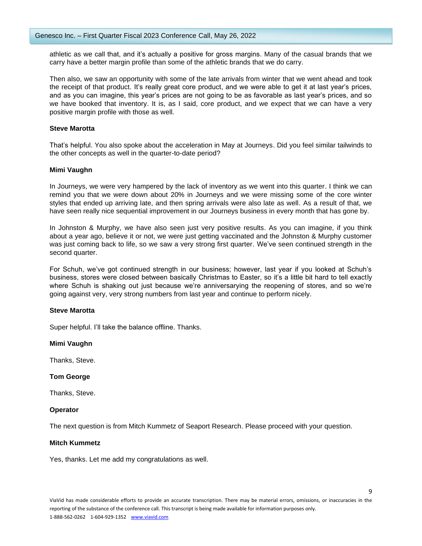athletic as we call that, and it's actually a positive for gross margins. Many of the casual brands that we carry have a better margin profile than some of the athletic brands that we do carry.

Then also, we saw an opportunity with some of the late arrivals from winter that we went ahead and took the receipt of that product. It's really great core product, and we were able to get it at last year's prices, and as you can imagine, this year's prices are not going to be as favorable as last year's prices, and so we have booked that inventory. It is, as I said, core product, and we expect that we can have a very positive margin profile with those as well.

## **Steve Marotta**

That's helpful. You also spoke about the acceleration in May at Journeys. Did you feel similar tailwinds to the other concepts as well in the quarter-to-date period?

## **Mimi Vaughn**

In Journeys, we were very hampered by the lack of inventory as we went into this quarter. I think we can remind you that we were down about 20% in Journeys and we were missing some of the core winter styles that ended up arriving late, and then spring arrivals were also late as well. As a result of that, we have seen really nice sequential improvement in our Journeys business in every month that has gone by.

In Johnston & Murphy, we have also seen just very positive results. As you can imagine, if you think about a year ago, believe it or not, we were just getting vaccinated and the Johnston & Murphy customer was just coming back to life, so we saw a very strong first quarter. We've seen continued strength in the second quarter.

For Schuh, we've got continued strength in our business; however, last year if you looked at Schuh's business, stores were closed between basically Christmas to Easter, so it's a little bit hard to tell exactly where Schuh is shaking out just because we're anniversarying the reopening of stores, and so we're going against very, very strong numbers from last year and continue to perform nicely.

#### **Steve Marotta**

Super helpful. I'll take the balance offline. Thanks.

**Mimi Vaughn** 

Thanks, Steve.

#### **Tom George**

Thanks, Steve.

#### **Operator**

The next question is from Mitch Kummetz of Seaport Research. Please proceed with your question.

## **Mitch Kummetz**

Yes, thanks. Let me add my congratulations as well.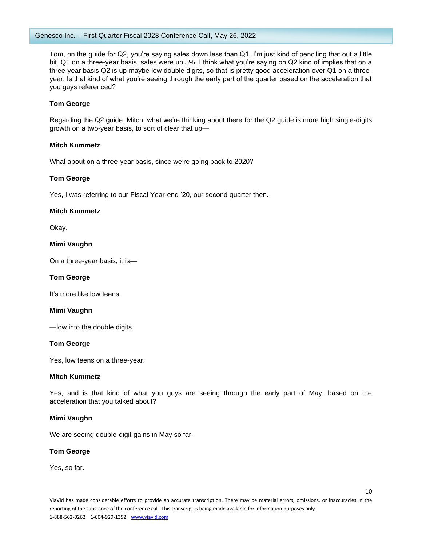Tom, on the guide for Q2, you're saying sales down less than Q1. I'm just kind of penciling that out a little bit. Q1 on a three-year basis, sales were up 5%. I think what you're saying on Q2 kind of implies that on a three-year basis Q2 is up maybe low double digits, so that is pretty good acceleration over Q1 on a threeyear. Is that kind of what you're seeing through the early part of the quarter based on the acceleration that you guys referenced?

## **Tom George**

Regarding the Q2 guide, Mitch, what we're thinking about there for the Q2 guide is more high single-digits growth on a two-year basis, to sort of clear that up—

## **Mitch Kummetz**

What about on a three-year basis, since we're going back to 2020?

## **Tom George**

Yes, I was referring to our Fiscal Year-end '20, our second quarter then.

## **Mitch Kummetz**

Okay.

## **Mimi Vaughn**

On a three-year basis, it is—

#### **Tom George**

It's more like low teens.

#### **Mimi Vaughn**

—low into the double digits.

#### **Tom George**

Yes, low teens on a three-year.

#### **Mitch Kummetz**

Yes, and is that kind of what you guys are seeing through the early part of May, based on the acceleration that you talked about?

#### **Mimi Vaughn**

We are seeing double-digit gains in May so far.

#### **Tom George**

Yes, so far.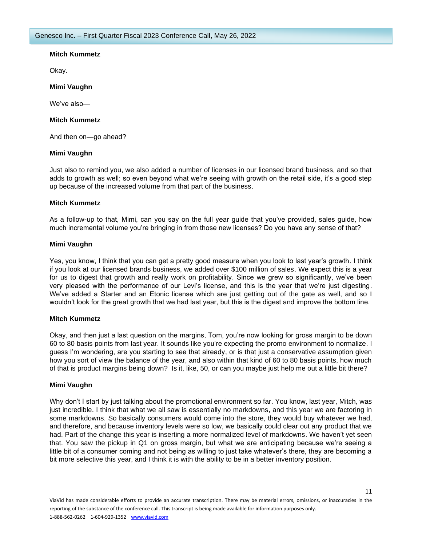## **Mitch Kummetz**

Okay.

## **Mimi Vaughn**

We've also—

## **Mitch Kummetz**

And then on—go ahead?

## **Mimi Vaughn**

Just also to remind you, we also added a number of licenses in our licensed brand business, and so that adds to growth as well; so even beyond what we're seeing with growth on the retail side, it's a good step up because of the increased volume from that part of the business.

## **Mitch Kummetz**

As a follow-up to that, Mimi, can you say on the full year guide that you've provided, sales guide, how much incremental volume you're bringing in from those new licenses? Do you have any sense of that?

## **Mimi Vaughn**

Yes, you know, I think that you can get a pretty good measure when you look to last year's growth. I think if you look at our licensed brands business, we added over \$100 million of sales. We expect this is a year for us to digest that growth and really work on profitability. Since we grew so significantly, we've been very pleased with the performance of our Levi's license, and this is the year that we're just digesting. We've added a Starter and an Etonic license which are just getting out of the gate as well, and so I wouldn't look for the great growth that we had last year, but this is the digest and improve the bottom line.

## **Mitch Kummetz**

Okay, and then just a last question on the margins, Tom, you're now looking for gross margin to be down 60 to 80 basis points from last year. It sounds like you're expecting the promo environment to normalize. I guess I'm wondering, are you starting to see that already, or is that just a conservative assumption given how you sort of view the balance of the year, and also within that kind of 60 to 80 basis points, how much of that is product margins being down? Is it, like, 50, or can you maybe just help me out a little bit there?

### **Mimi Vaughn**

Why don't I start by just talking about the promotional environment so far. You know, last year, Mitch, was just incredible. I think that what we all saw is essentially no markdowns, and this year we are factoring in some markdowns. So basically consumers would come into the store, they would buy whatever we had, and therefore, and because inventory levels were so low, we basically could clear out any product that we had. Part of the change this year is inserting a more normalized level of markdowns. We haven't yet seen that. You saw the pickup in Q1 on gross margin, but what we are anticipating because we're seeing a little bit of a consumer coming and not being as willing to just take whatever's there, they are becoming a bit more selective this year, and I think it is with the ability to be in a better inventory position.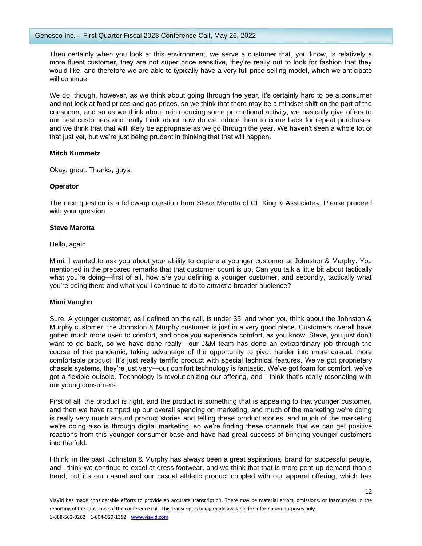Then certainly when you look at this environment, we serve a customer that, you know, is relatively a more fluent customer, they are not super price sensitive, they're really out to look for fashion that they would like, and therefore we are able to typically have a very full price selling model, which we anticipate will continue.

We do, though, however, as we think about going through the year, it's certainly hard to be a consumer and not look at food prices and gas prices, so we think that there may be a mindset shift on the part of the consumer, and so as we think about reintroducing some promotional activity, we basically give offers to our best customers and really think about how do we induce them to come back for repeat purchases, and we think that that will likely be appropriate as we go through the year. We haven't seen a whole lot of that just yet, but we're just being prudent in thinking that that will happen.

## **Mitch Kummetz**

Okay, great. Thanks, guys.

## **Operator**

The next question is a follow-up question from Steve Marotta of CL King & Associates. Please proceed with your question.

## **Steve Marotta**

Hello, again.

Mimi, I wanted to ask you about your ability to capture a younger customer at Johnston & Murphy. You mentioned in the prepared remarks that that customer count is up. Can you talk a little bit about tactically what you're doing—first of all, how are you defining a younger customer, and secondly, tactically what you're doing there and what you'll continue to do to attract a broader audience?

## **Mimi Vaughn**

Sure. A younger customer, as I defined on the call, is under 35, and when you think about the Johnston & Murphy customer, the Johnston & Murphy customer is just in a very good place. Customers overall have gotten much more used to comfort, and once you experience comfort, as you know, Steve, you just don't want to go back, so we have done really—our J&M team has done an extraordinary job through the course of the pandemic, taking advantage of the opportunity to pivot harder into more casual, more comfortable product. It's just really terrific product with special technical features. We've got proprietary chassis systems, they're just very—our comfort technology is fantastic. We've got foam for comfort, we've got a flexible outsole. Technology is revolutionizing our offering, and I think that's really resonating with our young consumers.

First of all, the product is right, and the product is something that is appealing to that younger customer, and then we have ramped up our overall spending on marketing, and much of the marketing we're doing is really very much around product stories and telling these product stories, and much of the marketing we're doing also is through digital marketing, so we're finding these channels that we can get positive reactions from this younger consumer base and have had great success of bringing younger customers into the fold.

I think, in the past, Johnston & Murphy has always been a great aspirational brand for successful people, and I think we continue to excel at dress footwear, and we think that that is more pent-up demand than a trend, but it's our casual and our casual athletic product coupled with our apparel offering, which has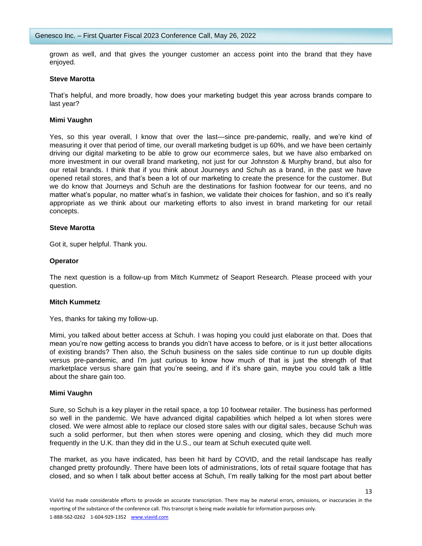grown as well, and that gives the younger customer an access point into the brand that they have enjoyed.

#### **Steve Marotta**

That's helpful, and more broadly, how does your marketing budget this year across brands compare to last year?

#### **Mimi Vaughn**

Yes, so this year overall, I know that over the last—since pre-pandemic, really, and we're kind of measuring it over that period of time, our overall marketing budget is up 60%, and we have been certainly driving our digital marketing to be able to grow our ecommerce sales, but we have also embarked on more investment in our overall brand marketing, not just for our Johnston & Murphy brand, but also for our retail brands. I think that if you think about Journeys and Schuh as a brand, in the past we have opened retail stores, and that's been a lot of our marketing to create the presence for the customer. But we do know that Journeys and Schuh are the destinations for fashion footwear for our teens, and no matter what's popular, no matter what's in fashion, we validate their choices for fashion, and so it's really appropriate as we think about our marketing efforts to also invest in brand marketing for our retail concepts.

#### **Steve Marotta**

Got it, super helpful. Thank you.

#### **Operator**

The next question is a follow-up from Mitch Kummetz of Seaport Research. Please proceed with your question.

#### **Mitch Kummetz**

Yes, thanks for taking my follow-up.

Mimi, you talked about better access at Schuh. I was hoping you could just elaborate on that. Does that mean you're now getting access to brands you didn't have access to before, or is it just better allocations of existing brands? Then also, the Schuh business on the sales side continue to run up double digits versus pre-pandemic, and I'm just curious to know how much of that is just the strength of that marketplace versus share gain that you're seeing, and if it's share gain, maybe you could talk a little about the share gain too.

#### **Mimi Vaughn**

Sure, so Schuh is a key player in the retail space, a top 10 footwear retailer. The business has performed so well in the pandemic. We have advanced digital capabilities which helped a lot when stores were closed. We were almost able to replace our closed store sales with our digital sales, because Schuh was such a solid performer, but then when stores were opening and closing, which they did much more frequently in the U.K. than they did in the U.S., our team at Schuh executed quite well.

The market, as you have indicated, has been hit hard by COVID, and the retail landscape has really changed pretty profoundly. There have been lots of administrations, lots of retail square footage that has closed, and so when I talk about better access at Schuh, I'm really talking for the most part about better